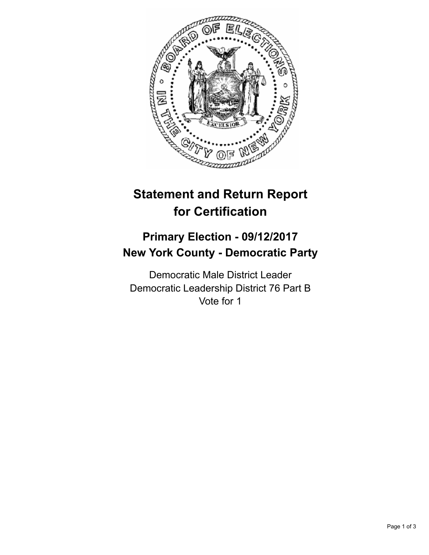

## **Statement and Return Report for Certification**

## **Primary Election - 09/12/2017 New York County - Democratic Party**

Democratic Male District Leader Democratic Leadership District 76 Part B Vote for 1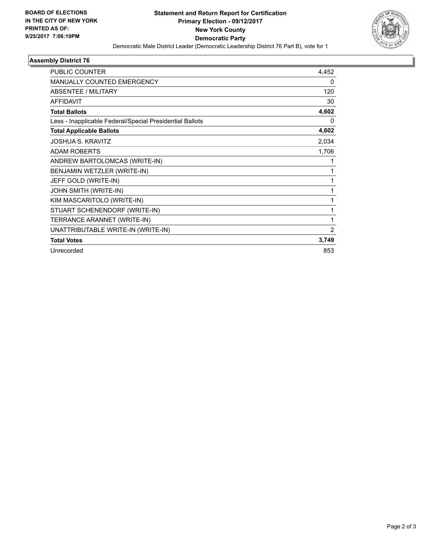

٠

## **Assembly District 76**

| <b>PUBLIC COUNTER</b>                                    | 4,452 |
|----------------------------------------------------------|-------|
| <b>MANUALLY COUNTED EMERGENCY</b>                        | 0     |
| ABSENTEE / MILITARY                                      | 120   |
| <b>AFFIDAVIT</b>                                         | 30    |
| <b>Total Ballots</b>                                     | 4,602 |
| Less - Inapplicable Federal/Special Presidential Ballots | 0     |
| <b>Total Applicable Ballots</b>                          | 4,602 |
| <b>JOSHUA S. KRAVITZ</b>                                 | 2,034 |
| <b>ADAM ROBERTS</b>                                      | 1,706 |
| ANDREW BARTOLOMCAS (WRITE-IN)                            | 1     |
| BENJAMIN WETZLER (WRITE-IN)                              | 1     |
| JEFF GOLD (WRITE-IN)                                     | 1     |
| JOHN SMITH (WRITE-IN)                                    | 1     |
| KIM MASCARITOLO (WRITE-IN)                               | 1     |
| STUART SCHENENDORF (WRITE-IN)                            | 1     |
| TERRANCE ARANNET (WRITE-IN)                              | 1     |
| UNATTRIBUTABLE WRITE-IN (WRITE-IN)                       | 2     |
| <b>Total Votes</b>                                       | 3,749 |
| Unrecorded                                               | 853   |
|                                                          |       |